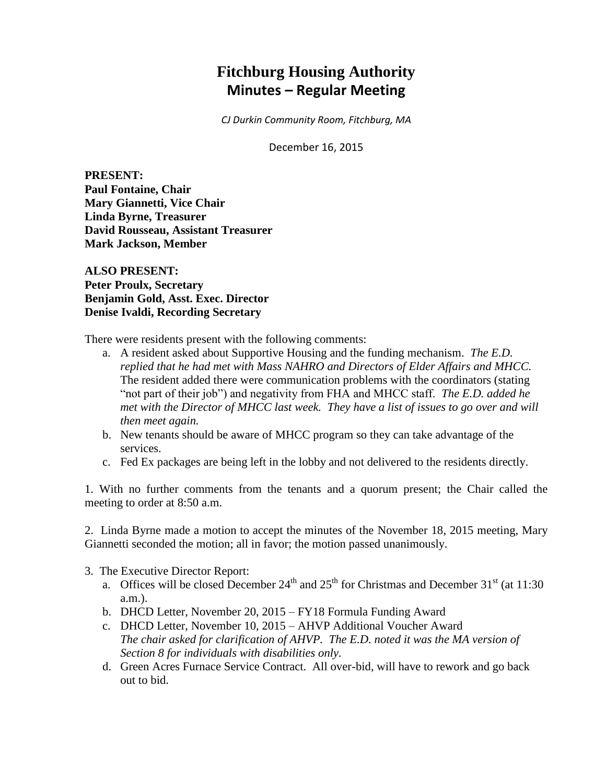# **Fitchburg Housing Authority Minutes – Regular Meeting**

*CJ Durkin Community Room, Fitchburg, MA*

December 16, 2015

**PRESENT: Paul Fontaine, Chair Mary Giannetti, Vice Chair Linda Byrne, Treasurer David Rousseau, Assistant Treasurer Mark Jackson, Member**

**ALSO PRESENT: Peter Proulx, Secretary Benjamin Gold, Asst. Exec. Director Denise Ivaldi, Recording Secretary**

There were residents present with the following comments:

- a. A resident asked about Supportive Housing and the funding mechanism. *The E.D. replied that he had met with Mass NAHRO and Directors of Elder Affairs and MHCC.* The resident added there were communication problems with the coordinators (stating "not part of their job") and negativity from FHA and MHCC staff. *The E.D. added he met with the Director of MHCC last week. They have a list of issues to go over and will then meet again.*
- b. New tenants should be aware of MHCC program so they can take advantage of the services.
- c. Fed Ex packages are being left in the lobby and not delivered to the residents directly.

1. With no further comments from the tenants and a quorum present; the Chair called the meeting to order at 8:50 a.m.

2. Linda Byrne made a motion to accept the minutes of the November 18, 2015 meeting, Mary Giannetti seconded the motion; all in favor; the motion passed unanimously.

- 3. The Executive Director Report:
	- a. Offices will be closed December  $24<sup>th</sup>$  and  $25<sup>th</sup>$  for Christmas and December  $31<sup>st</sup>$  (at 11:30) a.m.).
	- b. DHCD Letter, November 20, 2015 FY18 Formula Funding Award
	- c. DHCD Letter, November 10, 2015 AHVP Additional Voucher Award *The chair asked for clarification of AHVP. The E.D. noted it was the MA version of Section 8 for individuals with disabilities only.*
	- d. Green Acres Furnace Service Contract. All over-bid, will have to rework and go back out to bid.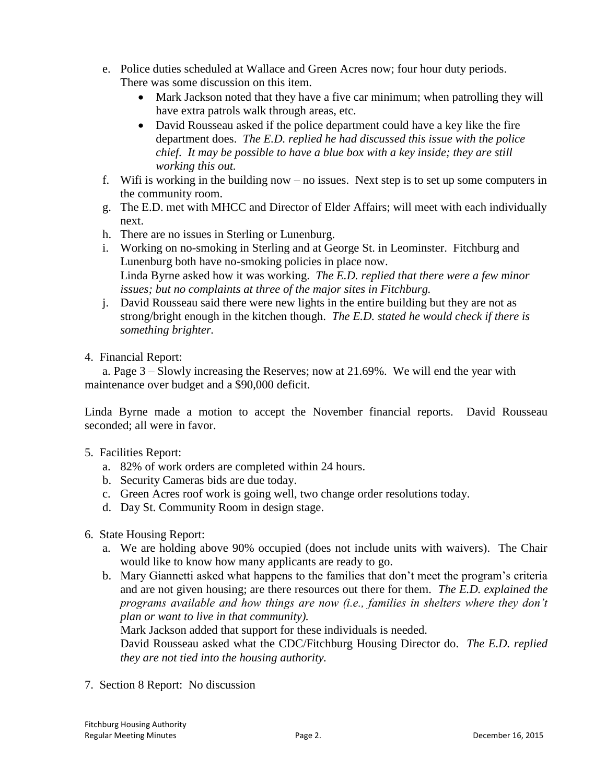- e. Police duties scheduled at Wallace and Green Acres now; four hour duty periods. There was some discussion on this item.
	- Mark Jackson noted that they have a five car minimum; when patrolling they will have extra patrols walk through areas, etc.
	- David Rousseau asked if the police department could have a key like the fire department does. *The E.D. replied he had discussed this issue with the police chief. It may be possible to have a blue box with a key inside; they are still working this out.*
- f. Wifi is working in the building now no issues. Next step is to set up some computers in the community room.
- g. The E.D. met with MHCC and Director of Elder Affairs; will meet with each individually next.
- h. There are no issues in Sterling or Lunenburg.
- i. Working on no-smoking in Sterling and at George St. in Leominster. Fitchburg and Lunenburg both have no-smoking policies in place now. Linda Byrne asked how it was working. *The E.D. replied that there were a few minor issues; but no complaints at three of the major sites in Fitchburg.*
- j. David Rousseau said there were new lights in the entire building but they are not as strong/bright enough in the kitchen though. *The E.D. stated he would check if there is something brighter.*
- 4. Financial Report:

a. Page 3 – Slowly increasing the Reserves; now at 21.69%. We will end the year with maintenance over budget and a \$90,000 deficit.

Linda Byrne made a motion to accept the November financial reports. David Rousseau seconded; all were in favor.

- 5. Facilities Report:
	- a. 82% of work orders are completed within 24 hours.
	- b. Security Cameras bids are due today.
	- c. Green Acres roof work is going well, two change order resolutions today.
	- d. Day St. Community Room in design stage.
- 6. State Housing Report:
	- a. We are holding above 90% occupied (does not include units with waivers). The Chair would like to know how many applicants are ready to go.
	- b. Mary Giannetti asked what happens to the families that don't meet the program's criteria and are not given housing; are there resources out there for them. *The E.D. explained the programs available and how things are now (i.e., families in shelters where they don't plan or want to live in that community).*

Mark Jackson added that support for these individuals is needed.

David Rousseau asked what the CDC/Fitchburg Housing Director do. *The E.D. replied they are not tied into the housing authority.*

7. Section 8 Report: No discussion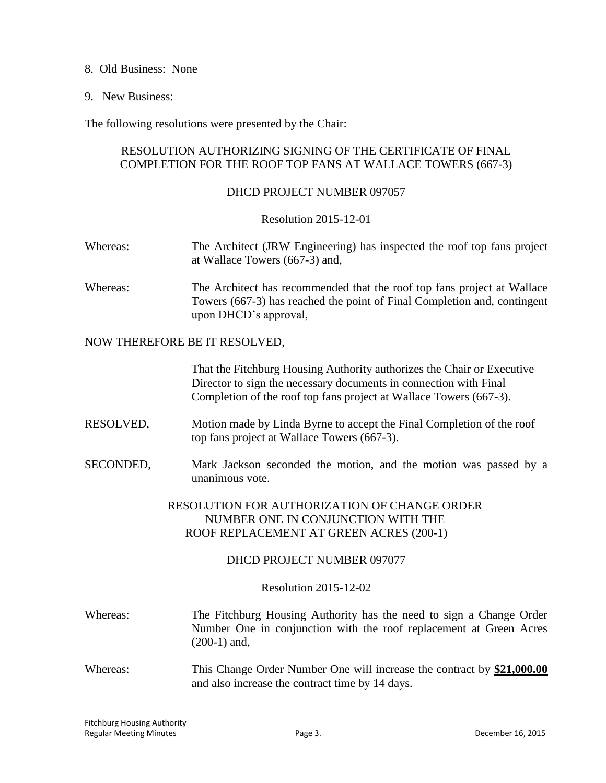- 8. Old Business: None
- 9. New Business:

The following resolutions were presented by the Chair:

## RESOLUTION AUTHORIZING SIGNING OF THE CERTIFICATE OF FINAL COMPLETION FOR THE ROOF TOP FANS AT WALLACE TOWERS (667-3)

#### DHCD PROJECT NUMBER 097057

#### Resolution 2015-12-01

- Whereas: The Architect (JRW Engineering) has inspected the roof top fans project at Wallace Towers (667-3) and,
- Whereas: The Architect has recommended that the roof top fans project at Wallace Towers (667-3) has reached the point of Final Completion and, contingent upon DHCD's approval,

#### NOW THEREFORE BE IT RESOLVED,

That the Fitchburg Housing Authority authorizes the Chair or Executive Director to sign the necessary documents in connection with Final Completion of the roof top fans project at Wallace Towers (667-3).

- RESOLVED, Motion made by Linda Byrne to accept the Final Completion of the roof top fans project at Wallace Towers (667-3).
- SECONDED, Mark Jackson seconded the motion, and the motion was passed by a unanimous vote.

# RESOLUTION FOR AUTHORIZATION OF CHANGE ORDER NUMBER ONE IN CONJUNCTION WITH THE ROOF REPLACEMENT AT GREEN ACRES (200-1)

## DHCD PROJECT NUMBER 097077

#### Resolution 2015-12-02

- Whereas: The Fitchburg Housing Authority has the need to sign a Change Order Number One in conjunction with the roof replacement at Green Acres (200-1) and,
- Whereas: This Change Order Number One will increase the contract by \$21,000.00 and also increase the contract time by 14 days.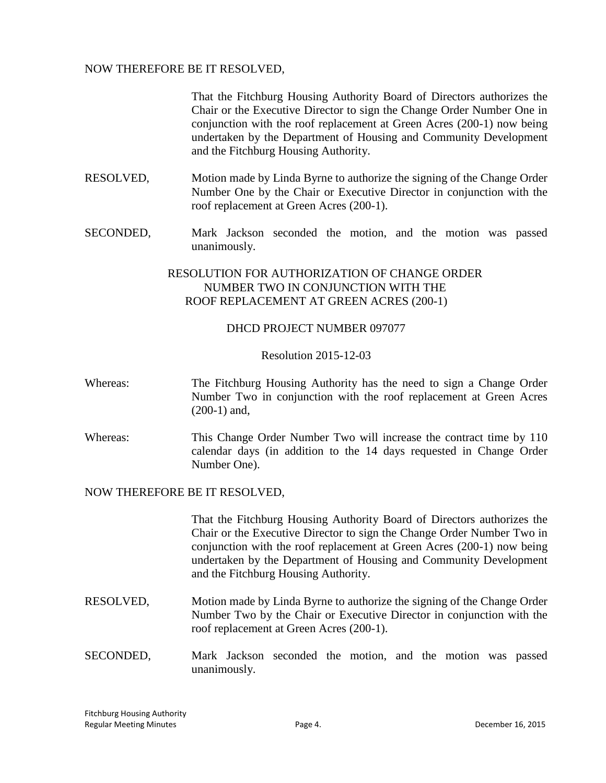## NOW THEREFORE BE IT RESOLVED,

That the Fitchburg Housing Authority Board of Directors authorizes the Chair or the Executive Director to sign the Change Order Number One in conjunction with the roof replacement at Green Acres (200-1) now being undertaken by the Department of Housing and Community Development and the Fitchburg Housing Authority.

- RESOLVED, Motion made by Linda Byrne to authorize the signing of the Change Order Number One by the Chair or Executive Director in conjunction with the roof replacement at Green Acres (200-1).
- SECONDED, Mark Jackson seconded the motion, and the motion was passed unanimously.

# RESOLUTION FOR AUTHORIZATION OF CHANGE ORDER NUMBER TWO IN CONJUNCTION WITH THE ROOF REPLACEMENT AT GREEN ACRES (200-1)

#### DHCD PROJECT NUMBER 097077

#### Resolution 2015-12-03

- Whereas: The Fitchburg Housing Authority has the need to sign a Change Order Number Two in conjunction with the roof replacement at Green Acres (200-1) and,
- Whereas: This Change Order Number Two will increase the contract time by 110 calendar days (in addition to the 14 days requested in Change Order Number One).

#### NOW THEREFORE BE IT RESOLVED,

That the Fitchburg Housing Authority Board of Directors authorizes the Chair or the Executive Director to sign the Change Order Number Two in conjunction with the roof replacement at Green Acres (200-1) now being undertaken by the Department of Housing and Community Development and the Fitchburg Housing Authority.

- RESOLVED, Motion made by Linda Byrne to authorize the signing of the Change Order Number Two by the Chair or Executive Director in conjunction with the roof replacement at Green Acres (200-1).
- SECONDED, Mark Jackson seconded the motion, and the motion was passed unanimously.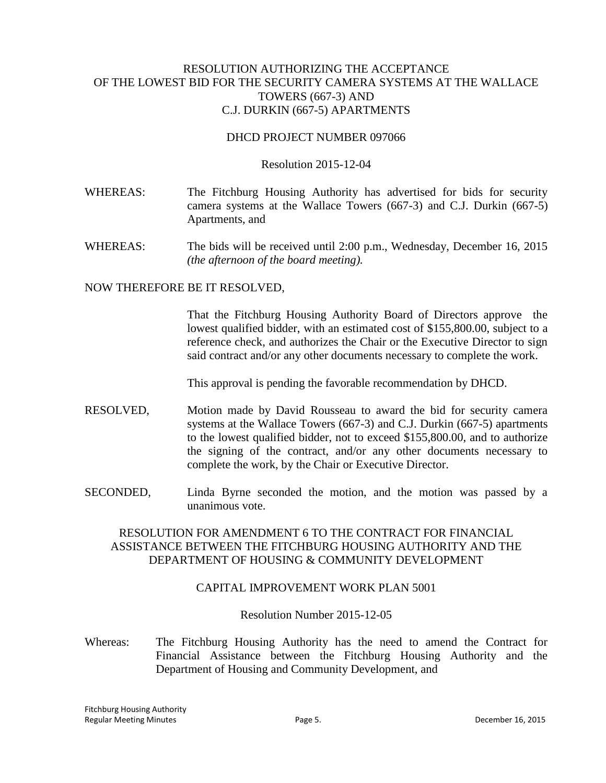## RESOLUTION AUTHORIZING THE ACCEPTANCE OF THE LOWEST BID FOR THE SECURITY CAMERA SYSTEMS AT THE WALLACE TOWERS (667-3) AND C.J. DURKIN (667-5) APARTMENTS

#### DHCD PROJECT NUMBER 097066

#### Resolution 2015-12-04

- WHEREAS: The Fitchburg Housing Authority has advertised for bids for security camera systems at the Wallace Towers (667-3) and C.J. Durkin (667-5) Apartments, and
- WHEREAS: The bids will be received until 2:00 p.m., Wednesday, December 16, 2015 *(the afternoon of the board meeting).*

#### NOW THEREFORE BE IT RESOLVED,

That the Fitchburg Housing Authority Board of Directors approve the lowest qualified bidder, with an estimated cost of \$155,800.00, subject to a reference check, and authorizes the Chair or the Executive Director to sign said contract and/or any other documents necessary to complete the work.

This approval is pending the favorable recommendation by DHCD.

- RESOLVED, Motion made by David Rousseau to award the bid for security camera systems at the Wallace Towers (667-3) and C.J. Durkin (667-5) apartments to the lowest qualified bidder, not to exceed \$155,800.00, and to authorize the signing of the contract, and/or any other documents necessary to complete the work, by the Chair or Executive Director.
- SECONDED, Linda Byrne seconded the motion, and the motion was passed by a unanimous vote.

# RESOLUTION FOR AMENDMENT 6 TO THE CONTRACT FOR FINANCIAL ASSISTANCE BETWEEN THE FITCHBURG HOUSING AUTHORITY AND THE DEPARTMENT OF HOUSING & COMMUNITY DEVELOPMENT

## CAPITAL IMPROVEMENT WORK PLAN 5001

#### Resolution Number 2015-12-05

Whereas: The Fitchburg Housing Authority has the need to amend the Contract for Financial Assistance between the Fitchburg Housing Authority and the Department of Housing and Community Development, and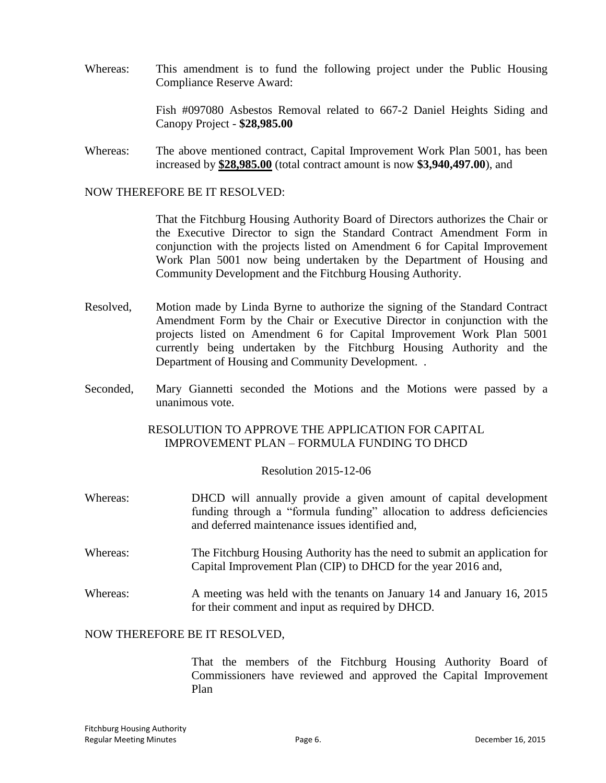Whereas: This amendment is to fund the following project under the Public Housing Compliance Reserve Award:

> Fish #097080 Asbestos Removal related to 667-2 Daniel Heights Siding and Canopy Project - **\$28,985.00**

Whereas: The above mentioned contract, Capital Improvement Work Plan 5001, has been increased by **\$28,985.00** (total contract amount is now **\$3,940,497.00**), and

NOW THEREFORE BE IT RESOLVED:

That the Fitchburg Housing Authority Board of Directors authorizes the Chair or the Executive Director to sign the Standard Contract Amendment Form in conjunction with the projects listed on Amendment 6 for Capital Improvement Work Plan 5001 now being undertaken by the Department of Housing and Community Development and the Fitchburg Housing Authority.

- Resolved, Motion made by Linda Byrne to authorize the signing of the Standard Contract Amendment Form by the Chair or Executive Director in conjunction with the projects listed on Amendment 6 for Capital Improvement Work Plan 5001 currently being undertaken by the Fitchburg Housing Authority and the Department of Housing and Community Development. .
- Seconded, Mary Giannetti seconded the Motions and the Motions were passed by a unanimous vote.

RESOLUTION TO APPROVE THE APPLICATION FOR CAPITAL IMPROVEMENT PLAN – FORMULA FUNDING TO DHCD

Resolution 2015-12-06

- Whereas: DHCD will annually provide a given amount of capital development funding through a "formula funding" allocation to address deficiencies and deferred maintenance issues identified and,
- Whereas: The Fitchburg Housing Authority has the need to submit an application for Capital Improvement Plan (CIP) to DHCD for the year 2016 and,
- Whereas: A meeting was held with the tenants on January 14 and January 16, 2015 for their comment and input as required by DHCD.

## NOW THEREFORE BE IT RESOLVED,

That the members of the Fitchburg Housing Authority Board of Commissioners have reviewed and approved the Capital Improvement Plan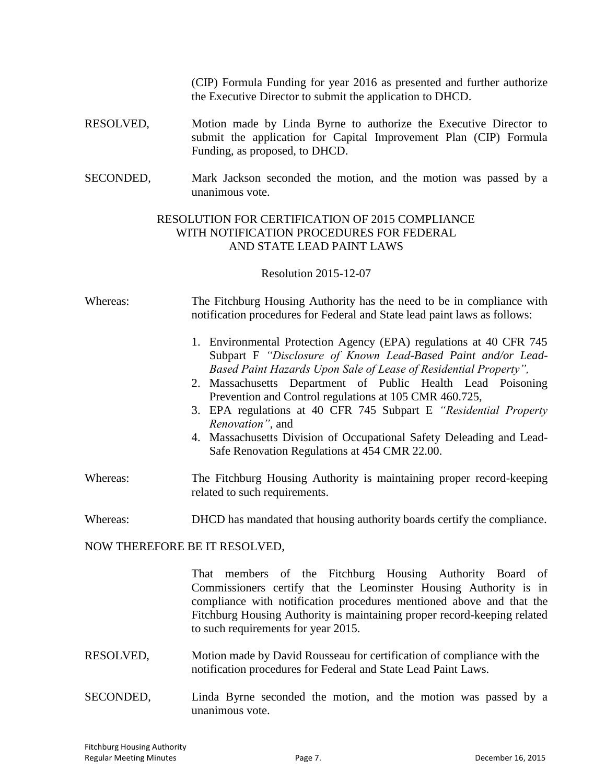(CIP) Formula Funding for year 2016 as presented and further authorize the Executive Director to submit the application to DHCD.

- RESOLVED, Motion made by Linda Byrne to authorize the Executive Director to submit the application for Capital Improvement Plan (CIP) Formula Funding, as proposed, to DHCD.
- SECONDED, Mark Jackson seconded the motion, and the motion was passed by a unanimous vote.

# RESOLUTION FOR CERTIFICATION OF 2015 COMPLIANCE WITH NOTIFICATION PROCEDURES FOR FEDERAL AND STATE LEAD PAINT LAWS

Resolution 2015-12-07

Whereas: The Fitchburg Housing Authority has the need to be in compliance with notification procedures for Federal and State lead paint laws as follows:

- 1. Environmental Protection Agency (EPA) regulations at 40 CFR 745 Subpart F *"Disclosure of Known Lead-Based Paint and/or Lead-Based Paint Hazards Upon Sale of Lease of Residential Property",*
- 2. Massachusetts Department of Public Health Lead Poisoning Prevention and Control regulations at 105 CMR 460.725,
- 3. EPA regulations at 40 CFR 745 Subpart E *"Residential Property Renovation"*, and
- 4. Massachusetts Division of Occupational Safety Deleading and Lead-Safe Renovation Regulations at 454 CMR 22.00.
- Whereas: The Fitchburg Housing Authority is maintaining proper record-keeping related to such requirements.

Whereas: DHCD has mandated that housing authority boards certify the compliance.

#### NOW THEREFORE BE IT RESOLVED,

That members of the Fitchburg Housing Authority Board of Commissioners certify that the Leominster Housing Authority is in compliance with notification procedures mentioned above and that the Fitchburg Housing Authority is maintaining proper record-keeping related to such requirements for year 2015.

- RESOLVED, Motion made by David Rousseau for certification of compliance with the notification procedures for Federal and State Lead Paint Laws.
- SECONDED, Linda Byrne seconded the motion, and the motion was passed by a unanimous vote.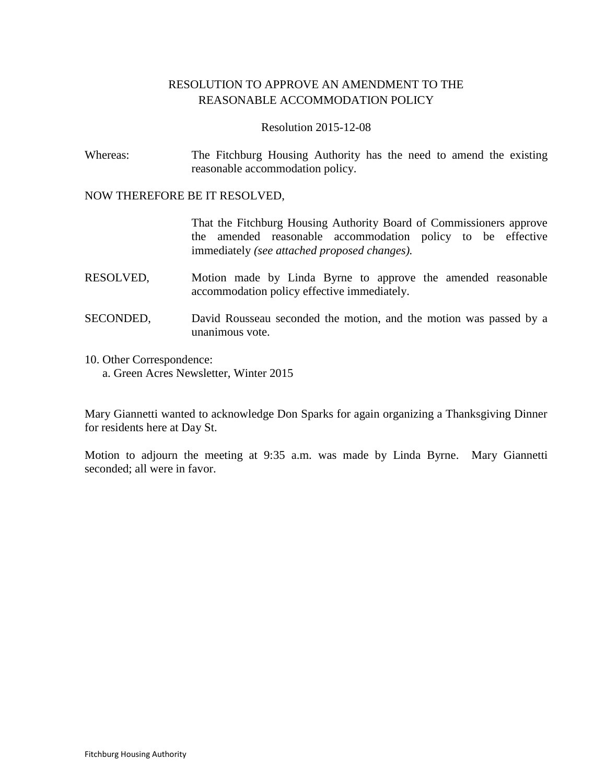# RESOLUTION TO APPROVE AN AMENDMENT TO THE REASONABLE ACCOMMODATION POLICY

## Resolution 2015-12-08

Whereas: The Fitchburg Housing Authority has the need to amend the existing reasonable accommodation policy.

#### NOW THEREFORE BE IT RESOLVED,

That the Fitchburg Housing Authority Board of Commissioners approve the amended reasonable accommodation policy to be effective immediately *(see attached proposed changes).*

- RESOLVED, Motion made by Linda Byrne to approve the amended reasonable accommodation policy effective immediately.
- SECONDED, David Rousseau seconded the motion, and the motion was passed by a unanimous vote.
- 10. Other Correspondence:
	- a. Green Acres Newsletter, Winter 2015

Mary Giannetti wanted to acknowledge Don Sparks for again organizing a Thanksgiving Dinner for residents here at Day St.

Motion to adjourn the meeting at 9:35 a.m. was made by Linda Byrne. Mary Giannetti seconded; all were in favor.